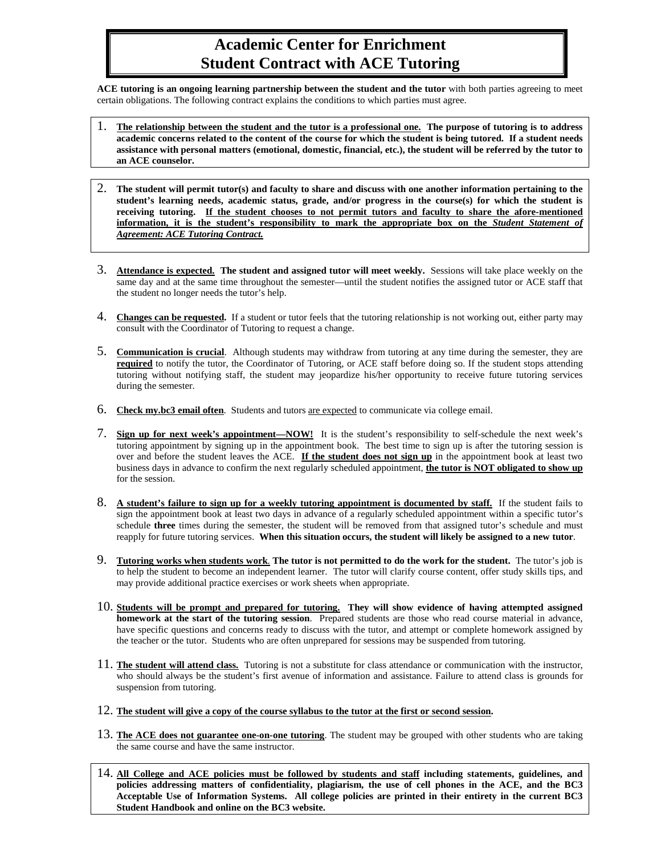## **Academic Center for Enrichment Student Contract with ACE Tutoring**

**ACE tutoring is an ongoing learning partnership between the student and the tutor** with both parties agreeing to meet certain obligations. The following contract explains the conditions to which parties must agree.

- 1. **The relationship between the student and the tutor is a professional one. The purpose of tutoring is to address academic concerns related to the content of the course for which the student is being tutored. If a student needs assistance with personal matters (emotional, domestic, financial, etc.), the student will be referred by the tutor to an ACE counselor.**
- 2. **The student will permit tutor(s) and faculty to share and discuss with one another information pertaining to the student's learning needs, academic status, grade, and/or progress in the course(s) for which the student is receiving tutoring. If the student chooses to not permit tutors and faculty to share the afore-mentioned information, it is the student's responsibility to mark the appropriate box on the** *Student Statement of Agreement: ACE Tutoring Contract.*
- 3. **Attendance is expected. The student and assigned tutor will meet weekly.** Sessions will take place weekly on the same day and at the same time throughout the semester—until the student notifies the assigned tutor or ACE staff that the student no longer needs the tutor's help.
- 4. **Changes can be requested.** If a student or tutor feels that the tutoring relationship is not working out, either party may consult with the Coordinator of Tutoring to request a change.
- 5. **Communication is crucial**. Although students may withdraw from tutoring at any time during the semester, they are **required** to notify the tutor, the Coordinator of Tutoring, or ACE staff before doing so. If the student stops attending tutoring without notifying staff, the student may jeopardize his/her opportunity to receive future tutoring services during the semester.
- 6. **Check my.bc3 email often**. Students and tutors are expected to communicate via college email.
- 7. **Sign up for next week's appointment—NOW!** It is the student's responsibility to self-schedule the next week's tutoring appointment by signing up in the appointment book. The best time to sign up is after the tutoring session is over and before the student leaves the ACE. **If the student does not sign up** in the appointment book at least two business days in advance to confirm the next regularly scheduled appointment, **the tutor is NOT obligated to show up** for the session.
- 8. **A student's failure to sign up for a weekly tutoring appointment is documented by staff.** If the student fails to sign the appointment book at least two days in advance of a regularly scheduled appointment within a specific tutor's schedule **three** times during the semester, the student will be removed from that assigned tutor's schedule and must reapply for future tutoring services. **When this situation occurs, the student will likely be assigned to a new tutor**.
- 9. **Tutoring works when students work**. **The tutor is not permitted to do the work for the student.** The tutor's job is to help the student to become an independent learner. The tutor will clarify course content, offer study skills tips, and may provide additional practice exercises or work sheets when appropriate.
- 10. **Students will be prompt and prepared for tutoring. They will show evidence of having attempted assigned homework at the start of the tutoring session**. Prepared students are those who read course material in advance, have specific questions and concerns ready to discuss with the tutor, and attempt or complete homework assigned by the teacher or the tutor.Students who are often unprepared for sessions may be suspended from tutoring.
- 11. **The student will attend class.** Tutoring is not a substitute for class attendance or communication with the instructor, who should always be the student's first avenue of information and assistance. Failure to attend class is grounds for suspension from tutoring.
- 12. **The student will give a copy of the course syllabus to the tutor at the first or second session.**
- 13. **The ACE does not guarantee one-on-one tutoring**. The student may be grouped with other students who are taking the same course and have the same instructor.
- 14. **All College and ACE policies must be followed by students and staff including statements, guidelines, and policies addressing matters of confidentiality, plagiarism, the use of cell phones in the ACE, and the BC3 Acceptable Use of Information Systems. All college policies are printed in their entirety in the current BC3 Student Handbook and online on the BC3 website.**